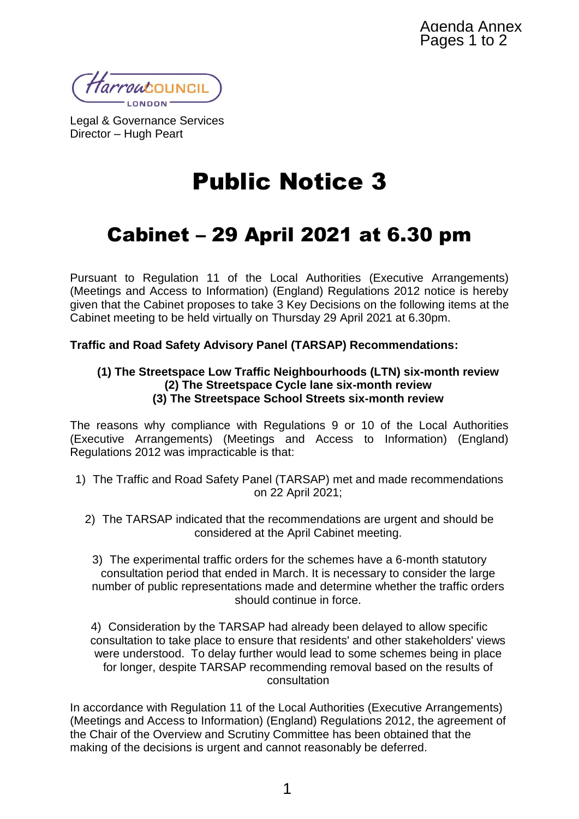Harroutouncil

Legal & Governance Services Director – Hugh Peart

## Public Notice 3

## Cabinet – 29 April 2021 at 6.30 pm

Pursuant to Regulation 11 of the Local Authorities (Executive Arrangements) (Meetings and Access to Information) (England) Regulations 2012 notice is hereby given that the Cabinet proposes to take 3 Key Decisions on the following items at the Cabinet meeting to be held virtually on Thursday 29 April 2021 at 6.30pm.

## **Traffic and Road Safety Advisory Panel (TARSAP) Recommendations:**

## **(1) The Streetspace Low Traffic Neighbourhoods (LTN) six-month review (2) The Streetspace Cycle lane six-month review (3) The Streetspace School Streets six-month review**

The reasons why compliance with Regulations 9 or 10 of the Local Authorities (Executive Arrangements) (Meetings and Access to Information) (England) Regulations 2012 was impracticable is that:

- 1) The Traffic and Road Safety Panel (TARSAP) met and made recommendations on 22 April 2021;
	- 2) The TARSAP indicated that the recommendations are urgent and should be considered at the April Cabinet meeting.

3) The experimental traffic orders for the schemes have a 6-month statutory consultation period that ended in March. It is necessary to consider the large number of public representations made and determine whether the traffic orders should continue in force.

4) Consideration by the TARSAP had already been delayed to allow specific consultation to take place to ensure that residents' and other stakeholders' views were understood. To delay further would lead to some schemes being in place for longer, despite TARSAP recommending removal based on the results of consultation

In accordance with Regulation 11 of the Local Authorities (Executive Arrangements) (Meetings and Access to Information) (England) Regulations 2012, the agreement of the Chair of the Overview and Scrutiny Committee has been obtained that the making of the decisions is urgent and cannot reasonably be deferred.